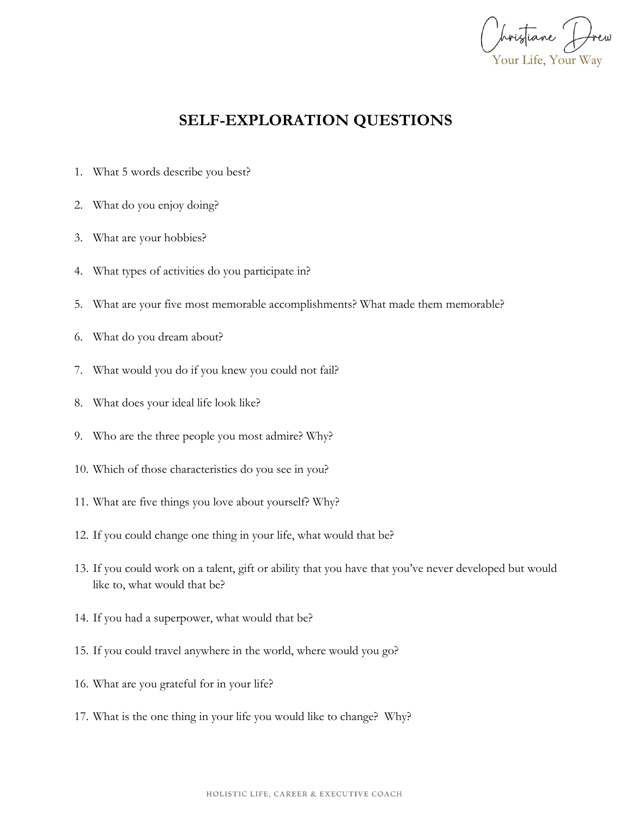Your Life, Your Way

## **SELF-EXPLORATION QUESTIONS**

- 1. What 5 words describe you best?
- 2. What do you enjoy doing?
- 3. What are your hobbies?
- 4. What types of activities do you participate in?
- 5. What are your five most memorable accomplishments? What made them memorable?
- 6. What do you dream about?
- 7. What would you do if you knew you could not fail?
- 8. What does your ideal life look like?
- 9. Who are the three people you most admire? Why?
- 10. Which of those characteristics do you see in you?
- 11. What are five things you love about yourself? Why?
- 12. If you could change one thing in your life, what would that be?
- 13. If you could work on a talent, gift or ability that you have that you've never developed but would like to, what would that be?
- 14. If you had a superpower, what would that be?
- 15. If you could travel anywhere in the world, where would you go?
- 16. What are you grateful for in your life?
- 17. What is the one thing in your life you would like to change? Why?